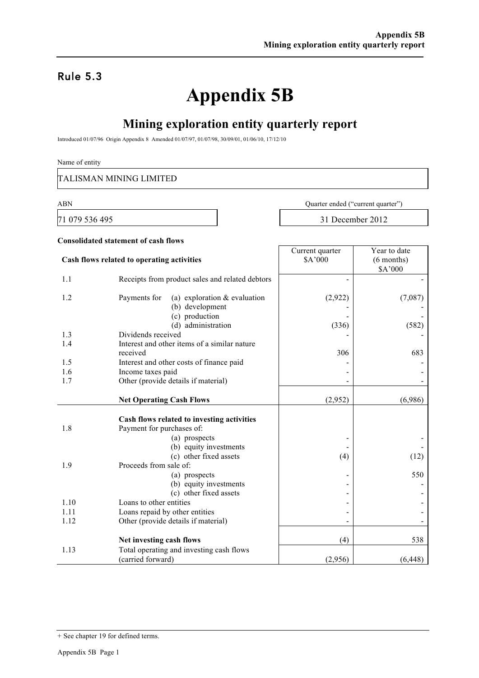### Rule 5.3

# **Appendix 5B**

## **Mining exploration entity quarterly report**

Introduced 01/07/96 Origin Appendix 8 Amended 01/07/97, 01/07/98, 30/09/01, 01/06/10, 17/12/10

#### Name of entity

TALISMAN MINING LIMITED

**Consolidated statement of cash flows**

71 079 536 495 31 December 2012

ABN Quarter ended ("current quarter")

|                                            |                                                                   | Current quarter | Year to date |
|--------------------------------------------|-------------------------------------------------------------------|-----------------|--------------|
| Cash flows related to operating activities |                                                                   | \$A'000         | $(6$ months) |
|                                            |                                                                   |                 | \$A'000      |
| 1.1                                        | Receipts from product sales and related debtors                   |                 |              |
| 1.2                                        | Payments for<br>(a) exploration $&$ evaluation<br>(b) development | (2,922)         | (7,087)      |
|                                            | (c) production                                                    |                 |              |
|                                            | (d) administration                                                | (336)           | (582)        |
| 1.3                                        | Dividends received                                                |                 |              |
| 1.4                                        | Interest and other items of a similar nature                      |                 |              |
|                                            | received                                                          | 306             | 683          |
| 1.5                                        | Interest and other costs of finance paid                          |                 |              |
| 1.6                                        | Income taxes paid                                                 |                 |              |
| 1.7                                        | Other (provide details if material)                               |                 |              |
|                                            |                                                                   |                 |              |
|                                            | <b>Net Operating Cash Flows</b>                                   | (2,952)         | (6,986)      |
|                                            |                                                                   |                 |              |
|                                            | Cash flows related to investing activities                        |                 |              |
| 1.8                                        | Payment for purchases of:                                         |                 |              |
|                                            | (a) prospects                                                     |                 |              |
|                                            | (b) equity investments                                            |                 |              |
|                                            | (c) other fixed assets                                            | (4)             | (12)         |
| 1.9                                        | Proceeds from sale of:                                            |                 |              |
|                                            | (a) prospects                                                     |                 | 550          |
|                                            | (b) equity investments                                            |                 |              |
|                                            | (c) other fixed assets                                            |                 |              |
| 1.10                                       | Loans to other entities                                           |                 |              |
| 1.11                                       | Loans repaid by other entities                                    |                 |              |
| 1.12                                       | Other (provide details if material)                               |                 |              |
|                                            |                                                                   |                 |              |
|                                            | Net investing cash flows                                          | (4)             | 538          |
| 1.13                                       | Total operating and investing cash flows                          |                 |              |
|                                            | (carried forward)                                                 | (2,956)         | (6, 448)     |

<sup>+</sup> See chapter 19 for defined terms.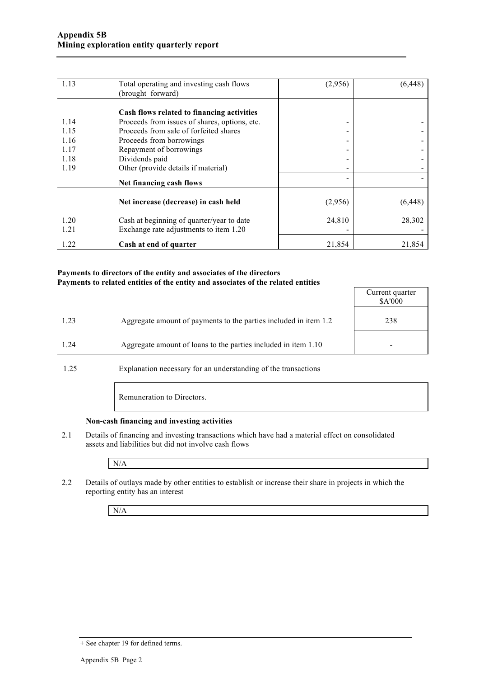| 1.13 | Total operating and investing cash flows      | (2,956) | (6, 448) |
|------|-----------------------------------------------|---------|----------|
|      | (brought forward)                             |         |          |
|      |                                               |         |          |
|      | Cash flows related to financing activities    |         |          |
| 1.14 | Proceeds from issues of shares, options, etc. | -       |          |
| 1.15 | Proceeds from sale of forfeited shares        | -       |          |
| 1.16 | Proceeds from borrowings                      | -       |          |
| 1.17 | Repayment of borrowings                       |         |          |
| 1.18 | Dividends paid                                |         |          |
| 1.19 | Other (provide details if material)           |         |          |
|      | Net financing cash flows                      |         |          |
|      |                                               |         |          |
|      | Net increase (decrease) in cash held          | (2,956) | (6, 448) |
| 1.20 |                                               |         |          |
|      | Cash at beginning of quarter/year to date     | 24,810  | 28,302   |
| 1.21 | Exchange rate adjustments to item 1.20        |         |          |
| 1.22 | Cash at end of quarter                        | 21,854  | 21,854   |

#### **Payments to directors of the entity and associates of the directors Payments to related entities of the entity and associates of the related entities**

|      |                                                                  | Current quarter<br>\$A'000 |
|------|------------------------------------------------------------------|----------------------------|
| 1.23 | Aggregate amount of payments to the parties included in item 1.2 | 238                        |
| 1.24 | Aggregate amount of loans to the parties included in item 1.10   | -                          |
|      |                                                                  |                            |

1.25 Explanation necessary for an understanding of the transactions

Remuneration to Directors.

#### **Non-cash financing and investing activities**

2.1 Details of financing and investing transactions which have had a material effect on consolidated assets and liabilities but did not involve cash flows

N/A

2.2 Details of outlays made by other entities to establish or increase their share in projects in which the reporting entity has an interest

N/A

<sup>+</sup> See chapter 19 for defined terms.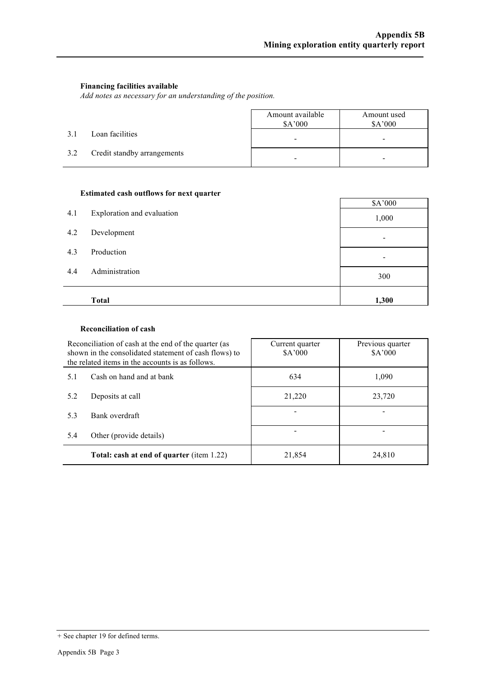#### **Financing facilities available**

*Add notes as necessary for an understanding of the position.*

|     |                             | Amount available<br>\$A'000 | Amount used<br>\$A'000 |
|-----|-----------------------------|-----------------------------|------------------------|
| 3.1 | Loan facilities             | -                           |                        |
| 3.2 | Credit standby arrangements | -                           |                        |

#### **Estimated cash outflows for next quarter**

| 4.1 | Exploration and evaluation | \$A'000<br>1,000         |
|-----|----------------------------|--------------------------|
| 4.2 | Development                |                          |
| 4.3 | Production                 | $\overline{\phantom{a}}$ |
| 4.4 | Administration             | 300                      |
|     | <b>Total</b>               | 1,300                    |

#### **Reconciliation of cash**

| Reconciliation of cash at the end of the quarter (as<br>shown in the consolidated statement of cash flows) to<br>the related items in the accounts is as follows. |                                           | Current quarter<br>\$A'000 | Previous quarter<br>A'000 |  |
|-------------------------------------------------------------------------------------------------------------------------------------------------------------------|-------------------------------------------|----------------------------|---------------------------|--|
| 5.1                                                                                                                                                               | Cash on hand and at bank                  | 634                        | 1,090                     |  |
| 5.2<br>Deposits at call<br>5.3<br>Bank overdraft<br>5.4<br>Other (provide details)                                                                                |                                           | 21,220                     | 23,720                    |  |
|                                                                                                                                                                   |                                           |                            |                           |  |
|                                                                                                                                                                   |                                           |                            |                           |  |
|                                                                                                                                                                   | Total: cash at end of quarter (item 1.22) | 21,854                     | 24,810                    |  |

<sup>+</sup> See chapter 19 for defined terms.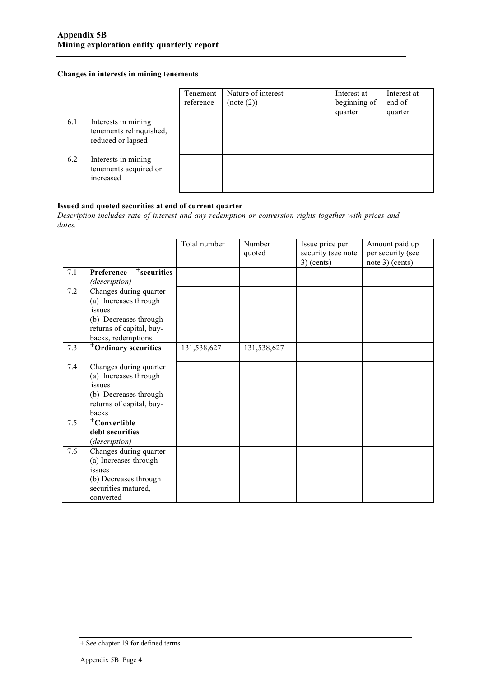#### **Changes in interests in mining tenements**

|     |                                                                     | Tenement<br>reference | Nature of interest<br>(note (2)) | Interest at<br>beginning of<br>quarter | Interest at<br>end of<br>quarter |
|-----|---------------------------------------------------------------------|-----------------------|----------------------------------|----------------------------------------|----------------------------------|
| 6.1 | Interests in mining<br>tenements relinquished,<br>reduced or lapsed |                       |                                  |                                        |                                  |
| 6.2 | Interests in mining<br>tenements acquired or<br>increased           |                       |                                  |                                        |                                  |

#### **Issued and quoted securities at end of current quarter**

*Description includes rate of interest and any redemption or conversion rights together with prices and dates.*

|     |                                                                                                                                      | Total number | Number<br>quoted | Issue price per<br>security (see note<br>$3)$ (cents) | Amount paid up<br>per security (see<br>note $3$ ) (cents) |
|-----|--------------------------------------------------------------------------------------------------------------------------------------|--------------|------------------|-------------------------------------------------------|-----------------------------------------------------------|
| 7.1 | $+$ securities<br>Preference<br>(description)                                                                                        |              |                  |                                                       |                                                           |
| 7.2 | Changes during quarter<br>(a) Increases through<br>issues<br>(b) Decreases through<br>returns of capital, buy-<br>backs, redemptions |              |                  |                                                       |                                                           |
| 7.3 | <sup>+</sup> Ordinary securities                                                                                                     | 131,538,627  | 131,538,627      |                                                       |                                                           |
| 7.4 | Changes during quarter<br>(a) Increases through<br>issues<br>(b) Decreases through<br>returns of capital, buy-<br>backs              |              |                  |                                                       |                                                           |
| 7.5 | <sup>+</sup> Convertible<br>debt securities<br>(description)                                                                         |              |                  |                                                       |                                                           |
| 7.6 | Changes during quarter<br>(a) Increases through<br>issues<br>(b) Decreases through<br>securities matured,<br>converted               |              |                  |                                                       |                                                           |

<sup>+</sup> See chapter 19 for defined terms.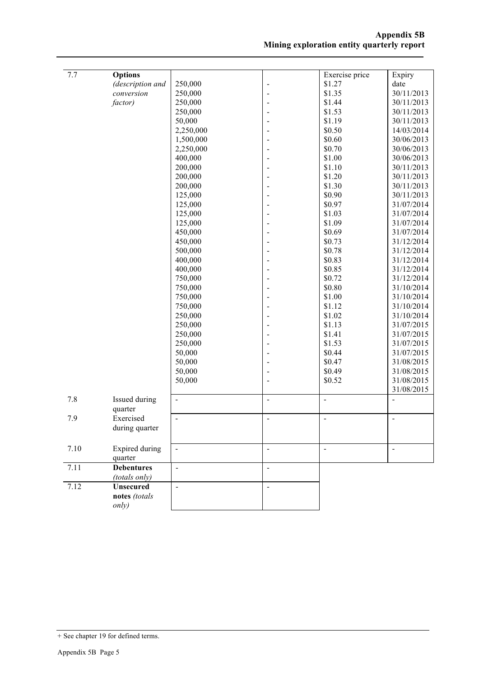| 7.7  | <b>Options</b>               |                |                              | Exercise price | Expiry                   |
|------|------------------------------|----------------|------------------------------|----------------|--------------------------|
|      | (description and             | 250,000        | $\overline{\phantom{0}}$     | \$1.27         | date                     |
|      | conversion                   | 250,000        | $\overline{a}$               | \$1.35         | 30/11/2013               |
|      | factor)                      | 250,000        | $\overline{a}$               | \$1.44         | 30/11/2013               |
|      |                              | 250,000        | -                            | \$1.53         | 30/11/2013               |
|      |                              | 50,000         | $\qquad \qquad \blacksquare$ | \$1.19         | 30/11/2013               |
|      |                              | 2,250,000      |                              | \$0.50         | 14/03/2014               |
|      |                              | 1,500,000      |                              | \$0.60         | 30/06/2013               |
|      |                              | 2,250,000      |                              | \$0.70         | 30/06/2013               |
|      |                              | 400,000        |                              | \$1.00         | 30/06/2013               |
|      |                              | 200,000        | $\qquad \qquad \blacksquare$ | \$1.10         | 30/11/2013               |
|      |                              | 200,000        | $\overline{\phantom{a}}$     | \$1.20         | 30/11/2013               |
|      |                              | 200,000        | $\overline{a}$               | \$1.30         | 30/11/2013               |
|      |                              | 125,000        | $\overline{a}$               | \$0.90         | 30/11/2013               |
|      |                              | 125,000        | Ē,                           | \$0.97         | 31/07/2014               |
|      |                              | 125,000        | Ē,                           | \$1.03         | 31/07/2014               |
|      |                              | 125,000        | $\overline{a}$               | \$1.09         | 31/07/2014               |
|      |                              | 450,000        | ٠                            | \$0.69         | 31/07/2014               |
|      |                              | 450,000        |                              | \$0.73         | 31/12/2014               |
|      |                              | 500,000        |                              | \$0.78         | 31/12/2014               |
|      |                              | 400,000        |                              | \$0.83         | 31/12/2014               |
|      |                              | 400,000        |                              | \$0.85         | 31/12/2014               |
|      |                              | 750,000        | $\qquad \qquad \blacksquare$ | \$0.72         | 31/12/2014               |
|      |                              | 750,000        | $\overline{a}$               | \$0.80         | 31/10/2014               |
|      |                              | 750,000        | $\overline{a}$               | \$1.00         | 31/10/2014               |
|      |                              | 750,000        | $\frac{1}{2}$                | \$1.12         | 31/10/2014               |
|      |                              | 250,000        | $\frac{1}{2}$                | \$1.02         | 31/10/2014               |
|      |                              | 250,000        | $\blacksquare$               | \$1.13         | 31/07/2015               |
|      |                              | 250,000        | -                            | \$1.41         | 31/07/2015               |
|      |                              | 250,000        | $\overline{\phantom{a}}$     | \$1.53         | 31/07/2015               |
|      |                              | 50,000         | Ē,                           | \$0.44         | 31/07/2015               |
|      |                              | 50,000         |                              | \$0.47         | 31/08/2015               |
|      |                              | 50,000         |                              | \$0.49         | 31/08/2015               |
|      |                              | 50,000         | Ē,                           | \$0.52         | 31/08/2015               |
|      |                              |                |                              |                | 31/08/2015               |
| 7.8  | Issued during<br>quarter     | $\frac{1}{2}$  | $\ddot{\phantom{1}}$         | $\frac{1}{2}$  | ÷,                       |
| 7.9  | Exercised                    | $\frac{1}{2}$  | $\blacksquare$               | $\blacksquare$ | $\blacksquare$           |
|      | during quarter               |                |                              |                |                          |
|      |                              |                |                              |                |                          |
| 7.10 | <b>Expired during</b>        | $\blacksquare$ | $\overline{\phantom{a}}$     | $\blacksquare$ | $\overline{\phantom{a}}$ |
| 7.11 | quarter<br><b>Debentures</b> |                |                              |                |                          |
|      | (totals only)                | $\overline{a}$ | $\overline{\phantom{a}}$     |                |                          |
| 7.12 | Unsecured                    | $\blacksquare$ | $\overline{a}$               |                |                          |
|      | notes (totals                |                |                              |                |                          |
|      | only)                        |                |                              |                |                          |
|      |                              |                |                              |                |                          |

<sup>+</sup> See chapter 19 for defined terms.